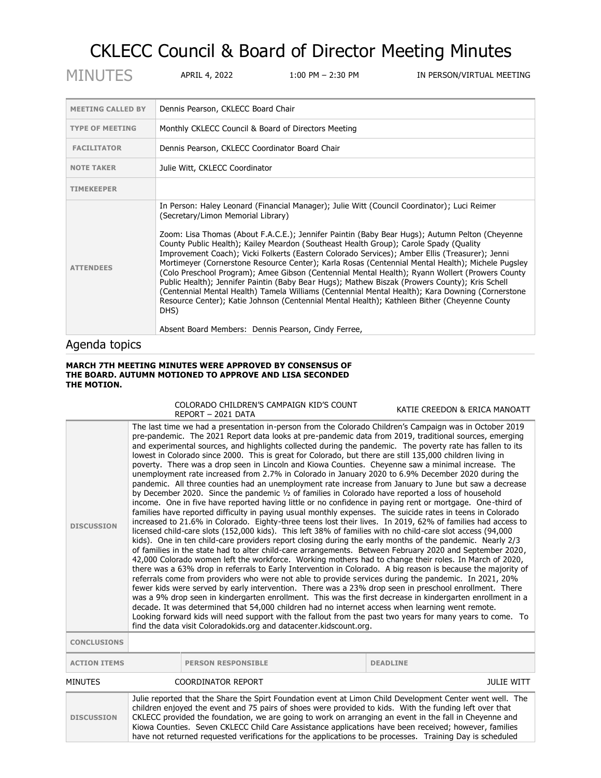# CKLECC Council & Board of Director Meeting Minutes

MINUTES APRIL 4, 2022 1:00 PM - 2:30 PM IN PERSON/VIRTUAL MEETING

| <b>MEETING CALLED BY</b> | Dennis Pearson, CKLECC Board Chair                                                                                                                                                                                                                                                                                                                                                                                                                                                                                                                                                                                                                                                                                                                                                                                                                                                                                                                                                                          |  |  |
|--------------------------|-------------------------------------------------------------------------------------------------------------------------------------------------------------------------------------------------------------------------------------------------------------------------------------------------------------------------------------------------------------------------------------------------------------------------------------------------------------------------------------------------------------------------------------------------------------------------------------------------------------------------------------------------------------------------------------------------------------------------------------------------------------------------------------------------------------------------------------------------------------------------------------------------------------------------------------------------------------------------------------------------------------|--|--|
| <b>TYPE OF MEETING</b>   | Monthly CKLECC Council & Board of Directors Meeting                                                                                                                                                                                                                                                                                                                                                                                                                                                                                                                                                                                                                                                                                                                                                                                                                                                                                                                                                         |  |  |
| <b>FACILITATOR</b>       | Dennis Pearson, CKLECC Coordinator Board Chair                                                                                                                                                                                                                                                                                                                                                                                                                                                                                                                                                                                                                                                                                                                                                                                                                                                                                                                                                              |  |  |
| <b>NOTE TAKER</b>        | Julie Witt, CKLECC Coordinator                                                                                                                                                                                                                                                                                                                                                                                                                                                                                                                                                                                                                                                                                                                                                                                                                                                                                                                                                                              |  |  |
| <b>TIMEKEEPER</b>        |                                                                                                                                                                                                                                                                                                                                                                                                                                                                                                                                                                                                                                                                                                                                                                                                                                                                                                                                                                                                             |  |  |
| <b>ATTENDEES</b>         | In Person: Haley Leonard (Financial Manager); Julie Witt (Council Coordinator); Luci Reimer<br>(Secretary/Limon Memorial Library)<br>Zoom: Lisa Thomas (About F.A.C.E.); Jennifer Paintin (Baby Bear Hugs); Autumn Pelton (Cheyenne<br>County Public Health); Kailey Meardon (Southeast Health Group); Carole Spady (Quality<br>Improvement Coach); Vicki Folkerts (Eastern Colorado Services); Amber Ellis (Treasurer); Jenni<br>Mortimeyer (Cornerstone Resource Center); Karla Rosas (Centennial Mental Health); Michele Pugsley<br>(Colo Preschool Program); Amee Gibson (Centennial Mental Health); Ryann Wollert (Prowers County<br>Public Health); Jennifer Paintin (Baby Bear Hugs); Mathew Biszak (Prowers County); Kris Schell<br>(Centennial Mental Health) Tamela Williams (Centennial Mental Health); Kara Downing (Cornerstone<br>Resource Center); Katie Johnson (Centennial Mental Health); Kathleen Bither (Cheyenne County<br>DHS)<br>Absent Board Members: Dennis Pearson, Cindy Ferree, |  |  |
|                          |                                                                                                                                                                                                                                                                                                                                                                                                                                                                                                                                                                                                                                                                                                                                                                                                                                                                                                                                                                                                             |  |  |

### Agenda topics

#### **MARCH 7TH MEETING MINUTES WERE APPROVED BY CONSENSUS OF THE BOARD. AUTUMN MOTIONED TO APPROVE AND LISA SECONDED THE MOTION.**

## COLORADO CHILDREN'S CAMPAIGN KID'S COUNT

KATIE CREEDON & ERICA MANOATT

| <b>DISCUSSION</b>   | The last time we had a presentation in-person from the Colorado Children's Campaign was in October 2019<br>pre-pandemic. The 2021 Report data looks at pre-pandemic data from 2019, traditional sources, emerging<br>and experimental sources, and highlights collected during the pandemic. The poverty rate has fallen to its<br>lowest in Colorado since 2000. This is great for Colorado, but there are still 135,000 children living in<br>poverty. There was a drop seen in Lincoln and Kiowa Counties. Chevenne saw a minimal increase. The<br>unemployment rate increased from 2.7% in Colorado in January 2020 to 6.9% December 2020 during the<br>pandemic. All three counties had an unemployment rate increase from January to June but saw a decrease<br>by December 2020. Since the pandemic 1/2 of families in Colorado have reported a loss of household<br>income. One in five have reported having little or no confidence in paying rent or mortgage. One-third of<br>families have reported difficulty in paying usual monthly expenses. The suicide rates in teens in Colorado<br>increased to 21.6% in Colorado. Eighty-three teens lost their lives. In 2019, 62% of families had access to<br>licensed child-care slots (152,000 kids). This left 38% of families with no child-care slot access (94,000<br>kids). One in ten child-care providers report closing during the early months of the pandemic. Nearly 2/3<br>of families in the state had to alter child-care arrangements. Between February 2020 and September 2020,<br>42,000 Colorado women left the workforce. Working mothers had to change their roles. In March of 2020,<br>there was a 63% drop in referrals to Early Intervention in Colorado. A big reason is because the majority of<br>referrals come from providers who were not able to provide services during the pandemic. In 2021, 20%<br>fewer kids were served by early intervention. There was a 23% drop seen in preschool enrollment. There<br>was a 9% drop seen in kindergarten enrollment. This was the first decrease in kindergarten enrollment in a<br>decade. It was determined that 54,000 children had no internet access when learning went remote.<br>Looking forward kids will need support with the fallout from the past two years for many years to come. To<br>find the data visit Coloradokids.org and datacenter.kidscount.org. |                           |                   |  |
|---------------------|--------------------------------------------------------------------------------------------------------------------------------------------------------------------------------------------------------------------------------------------------------------------------------------------------------------------------------------------------------------------------------------------------------------------------------------------------------------------------------------------------------------------------------------------------------------------------------------------------------------------------------------------------------------------------------------------------------------------------------------------------------------------------------------------------------------------------------------------------------------------------------------------------------------------------------------------------------------------------------------------------------------------------------------------------------------------------------------------------------------------------------------------------------------------------------------------------------------------------------------------------------------------------------------------------------------------------------------------------------------------------------------------------------------------------------------------------------------------------------------------------------------------------------------------------------------------------------------------------------------------------------------------------------------------------------------------------------------------------------------------------------------------------------------------------------------------------------------------------------------------------------------------------------------------------------------------------------------------------------------------------------------------------------------------------------------------------------------------------------------------------------------------------------------------------------------------------------------------------------------------------------------------------------------------------------------------------------------------------------------------------------------------------------------|---------------------------|-------------------|--|
| <b>CONCLUSIONS</b>  |                                                                                                                                                                                                                                                                                                                                                                                                                                                                                                                                                                                                                                                                                                                                                                                                                                                                                                                                                                                                                                                                                                                                                                                                                                                                                                                                                                                                                                                                                                                                                                                                                                                                                                                                                                                                                                                                                                                                                                                                                                                                                                                                                                                                                                                                                                                                                                                                              |                           |                   |  |
| <b>ACTION ITEMS</b> |                                                                                                                                                                                                                                                                                                                                                                                                                                                                                                                                                                                                                                                                                                                                                                                                                                                                                                                                                                                                                                                                                                                                                                                                                                                                                                                                                                                                                                                                                                                                                                                                                                                                                                                                                                                                                                                                                                                                                                                                                                                                                                                                                                                                                                                                                                                                                                                                              | <b>PERSON RESPONSIBLE</b> | <b>DEADLINE</b>   |  |
| MINUTES             |                                                                                                                                                                                                                                                                                                                                                                                                                                                                                                                                                                                                                                                                                                                                                                                                                                                                                                                                                                                                                                                                                                                                                                                                                                                                                                                                                                                                                                                                                                                                                                                                                                                                                                                                                                                                                                                                                                                                                                                                                                                                                                                                                                                                                                                                                                                                                                                                              | <b>COORDINATOR REPORT</b> | <b>JULIE WITT</b> |  |
| <b>DISCUSSION</b>   | Julie reported that the Share the Spirt Foundation event at Limon Child Development Center went well. The<br>children enjoyed the event and 75 pairs of shoes were provided to kids. With the funding left over that<br>CKLECC provided the foundation, we are going to work on arranging an event in the fall in Cheyenne and<br>Kiowa Counties. Seven CKLECC Child Care Assistance applications have been received; however, families                                                                                                                                                                                                                                                                                                                                                                                                                                                                                                                                                                                                                                                                                                                                                                                                                                                                                                                                                                                                                                                                                                                                                                                                                                                                                                                                                                                                                                                                                                                                                                                                                                                                                                                                                                                                                                                                                                                                                                      |                           |                   |  |

have not returned requested verifications for the applications to be processes. Training Day is scheduled